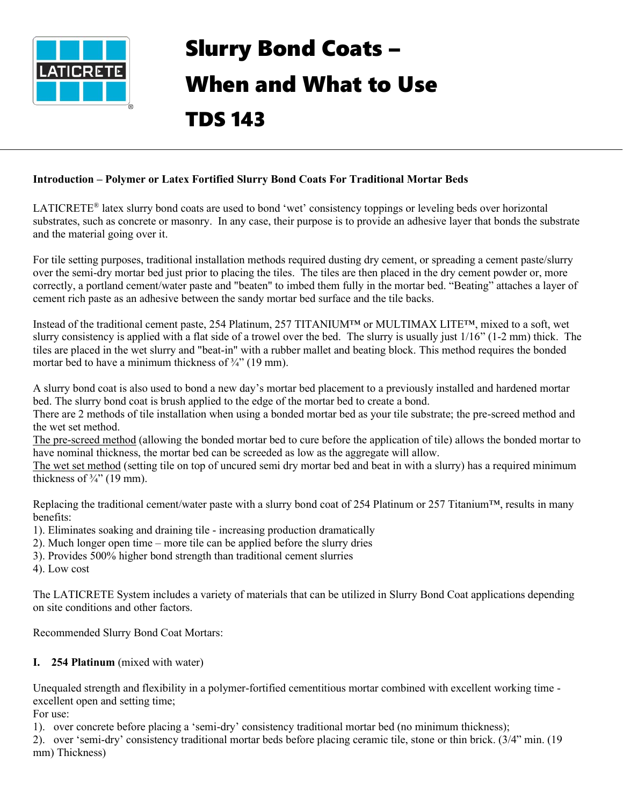

# Slurry Bond Coats – When and What to Use TDS 143

#### **Introduction – Polymer or Latex Fortified Slurry Bond Coats For Traditional Mortar Beds**

LATICRETE® latex slurry bond coats are used to bond 'wet' consistency toppings or leveling beds over horizontal substrates, such as concrete or masonry. In any case, their purpose is to provide an adhesive layer that bonds the substrate and the material going over it.

For tile setting purposes, traditional installation methods required dusting dry cement, or spreading a cement paste/slurry over the semi-dry mortar bed just prior to placing the tiles. The tiles are then placed in the dry cement powder or, more correctly, a portland cement/water paste and "beaten" to imbed them fully in the mortar bed. "Beating" attaches a layer of cement rich paste as an adhesive between the sandy mortar bed surface and the tile backs.

Instead of the traditional cement paste, 254 Platinum, 257 TITANIUM™ or MULTIMAX LITE™, mixed to a soft, wet slurry consistency is applied with a flat side of a trowel over the bed. The slurry is usually just  $1/16$ " ( $1-2$  mm) thick. The tiles are placed in the wet slurry and "beat-in" with a rubber mallet and beating block. This method requires the bonded mortar bed to have a minimum thickness of  $\frac{3}{4}$ " (19 mm).

A slurry bond coat is also used to bond a new day's mortar bed placement to a previously installed and hardened mortar bed. The slurry bond coat is brush applied to the edge of the mortar bed to create a bond.

There are 2 methods of tile installation when using a bonded mortar bed as your tile substrate; the pre-screed method and the wet set method.

The pre-screed method (allowing the bonded mortar bed to cure before the application of tile) allows the bonded mortar to have nominal thickness, the mortar bed can be screeded as low as the aggregate will allow.

The wet set method (setting tile on top of uncured semi dry mortar bed and beat in with a slurry) has a required minimum thickness of  $\frac{3}{4}$  (19 mm).

Replacing the traditional cement/water paste with a slurry bond coat of 254 Platinum or 257 Titanium™, results in many benefits:

- 1). Eliminates soaking and draining tile increasing production dramatically
- 2). Much longer open time more tile can be applied before the slurry dries
- 3). Provides 500% higher bond strength than traditional cement slurries
- 4). Low cost

The LATICRETE System includes a variety of materials that can be utilized in Slurry Bond Coat applications depending on site conditions and other factors.

Recommended Slurry Bond Coat Mortars:

#### **I. 254 Platinum** (mixed with water)

Unequaled strength and flexibility in a polymer-fortified cementitious mortar combined with excellent working time excellent open and setting time;

For use:

1). over concrete before placing a 'semi-dry' consistency traditional mortar bed (no minimum thickness);

2). over 'semi-dry' consistency traditional mortar beds before placing ceramic tile, stone or thin brick. (3/4" min. (19 mm) Thickness)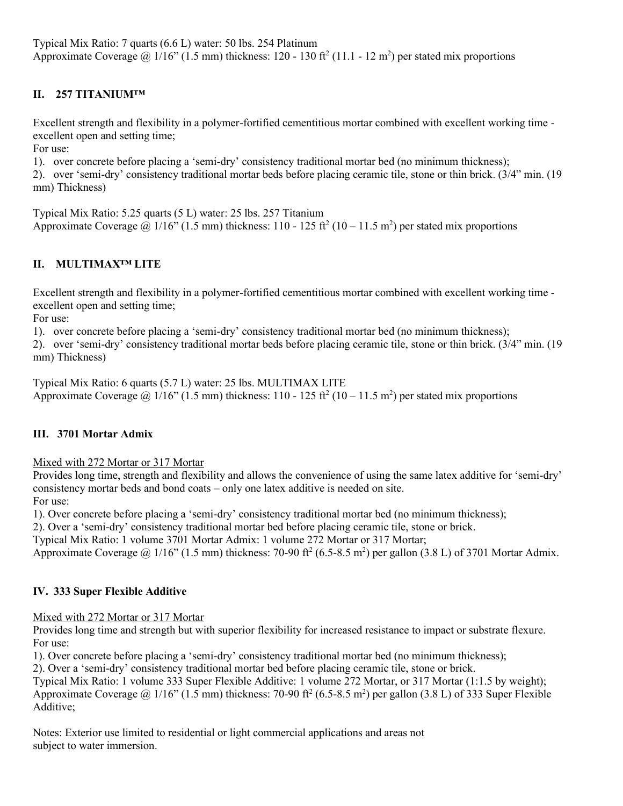Typical Mix Ratio: 7 quarts (6.6 L) water: 50 lbs. 254 Platinum Approximate Coverage  $\omega$  1/16" (1.5 mm) thickness: 120 - 130 ft<sup>2</sup> (11.1 - 12 m<sup>2</sup>) per stated mix proportions

## **II. 257 TITANIUM™**

Excellent strength and flexibility in a polymer-fortified cementitious mortar combined with excellent working time excellent open and setting time;

For use:

1). over concrete before placing a 'semi-dry' consistency traditional mortar bed (no minimum thickness);

2). over 'semi-dry' consistency traditional mortar beds before placing ceramic tile, stone or thin brick. (3/4" min. (19 mm) Thickness)

Typical Mix Ratio: 5.25 quarts (5 L) water: 25 lbs. 257 Titanium Approximate Coverage @ 1/16" (1.5 mm) thickness: 110 - 125 ft<sup>2</sup> (10 – 11.5 m<sup>2</sup>) per stated mix proportions

## **II. MULTIMAX™ LITE**

Excellent strength and flexibility in a polymer-fortified cementitious mortar combined with excellent working time excellent open and setting time;

For use:

1). over concrete before placing a 'semi-dry' consistency traditional mortar bed (no minimum thickness);

2). over 'semi-dry' consistency traditional mortar beds before placing ceramic tile, stone or thin brick. (3/4" min. (19 mm) Thickness)

Typical Mix Ratio: 6 quarts (5.7 L) water: 25 lbs. MULTIMAX LITE Approximate Coverage @ 1/16" (1.5 mm) thickness: 110 - 125 ft<sup>2</sup> (10 – 11.5 m<sup>2</sup>) per stated mix proportions

## **III. 3701 Mortar Admix**

Mixed with 272 Mortar or 317 Mortar

Provides long time, strength and flexibility and allows the convenience of using the same latex additive for 'semi-dry' consistency mortar beds and bond coats – only one latex additive is needed on site. For use:

1). Over concrete before placing a 'semi-dry' consistency traditional mortar bed (no minimum thickness);

2). Over a 'semi-dry' consistency traditional mortar bed before placing ceramic tile, stone or brick.

Typical Mix Ratio: 1 volume 3701 Mortar Admix: 1 volume 272 Mortar or 317 Mortar;

Approximate Coverage @ 1/16" (1.5 mm) thickness: 70-90 ft<sup>2</sup> (6.5-8.5 m<sup>2</sup>) per gallon (3.8 L) of 3701 Mortar Admix.

#### **IV. 333 Super Flexible Additive**

Mixed with 272 Mortar or 317 Mortar

Provides long time and strength but with superior flexibility for increased resistance to impact or substrate flexure. For use:

1). Over concrete before placing a 'semi-dry' consistency traditional mortar bed (no minimum thickness);

2). Over a 'semi-dry' consistency traditional mortar bed before placing ceramic tile, stone or brick.

Typical Mix Ratio: 1 volume 333 Super Flexible Additive: 1 volume 272 Mortar, or 317 Mortar (1:1.5 by weight); Approximate Coverage @ 1/16" (1.5 mm) thickness: 70-90 ft<sup>2</sup> (6.5-8.5 m<sup>2</sup>) per gallon (3.8 L) of 333 Super Flexible Additive;

Notes: Exterior use limited to residential or light commercial applications and areas not subject to water immersion.